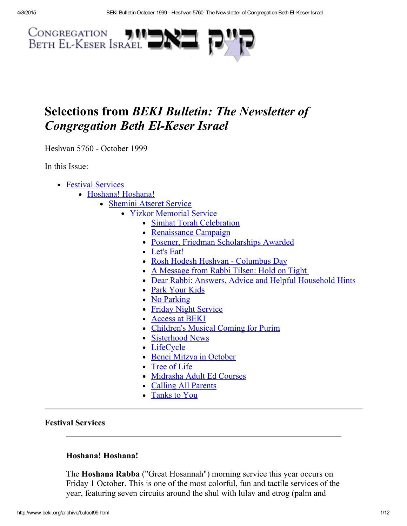

# Selections from BEKI Bulletin: The Newsletter of **Congregation Beth El-Keser Israel**

Heshvan 5760 - October 1999

In this Issue:

- Festival [Services](#page-0-0)
	- Hoshana! [Hoshana!](#page-0-1)
		- [Shemini](#page-1-2) Atseret Service
			- Yizkor [Memorial](#page-1-3) Service
				- Simhat Torah [Celebration](#page-1-1)
				- [Renaissance](#page-1-0) Campaign
				- Posener, Friedman [Scholarships](#page-2-0) Awarded
				- [Let's](#page-3-0) Eat!
				- Rosh Hodesh Heshvan [Columbus](#page-4-0) Day
				- A [Message](#page-4-1) from Rabbi Tilsen: Hold on Tight
				- Dear Rabbi: Answers, Advice and Helpful [Household](#page-5-0) Hints
				- Park [Your](#page-7-1) Kids
				- No [Parking](#page-7-0)
				- Friday Night [Service](#page-7-2)
				- [Access](#page-8-2) at BEKI
				- [Children's](#page-8-0) Musical Coming for Purim
				- [Sisterhood](#page-8-1) News
				- [LifeCycle](#page-9-0)
				- Benei Mitzva in [October](#page-9-1)
				- [Tree](#page-9-2) of Life
				- [Midrasha](#page-10-2) Adult Ed Courses
				- Calling All [Parents](#page-10-0)
				- [Tanks](#page-10-1) to You

## <span id="page-0-0"></span>Festival Services

## <span id="page-0-1"></span>Hoshana! Hoshana!

The Hoshana Rabba ("Great Hosannah") morning service this year occurs on Friday 1 October. This is one of the most colorful, fun and tactile services of the year, featuring seven circuits around the shul with lulav and etrog (palm and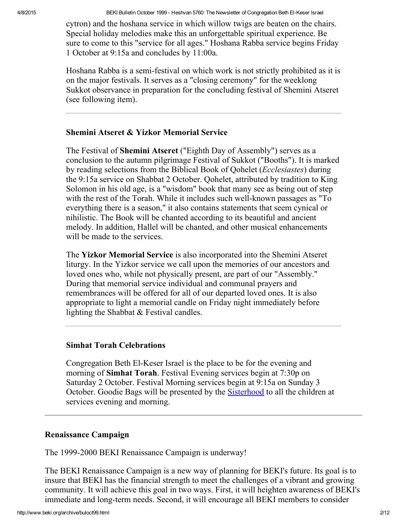cytron) and the hoshana service in which willow twigs are beaten on the chairs. Special holiday melodies make this an unforgettable spiritual experience. Be sure to come to this "service for all ages." Hoshana Rabba service begins Friday 1 October at 9:15a and concludes by 11:00a.

Hoshana Rabba is a semi-festival on which work is not strictly prohibited as it is on the major festivals. It serves as a "closing ceremony" for the weeklong Sukkot observance in preparation for the concluding festival of Shemini Atseret (see following item).

## <span id="page-1-3"></span><span id="page-1-2"></span>Shemini Atseret & Yizkor Memorial Service

The Festival of Shemini Atseret ("Eighth Day of Assembly") serves as a conclusion to the autumn pilgrimage Festival of Sukkot ("Booths"). It is marked by reading selections from the Biblical Book of Qohelet (Ecclesiastes) during the 9:15a service on Shabbat 2 October. Qohelet, attributed by tradition to King Solomon in his old age, is a "wisdom" book that many see as being out of step with the rest of the Torah. While it includes such well-known passages as "To everything there is a season," it also contains statements that seem cynical or nihilistic. The Book will be chanted according to its beautiful and ancient melody. In addition, Hallel will be chanted, and other musical enhancements will be made to the services.

The Yizkor Memorial Service is also incorporated into the Shemini Atseret liturgy. In the Yizkor service we call upon the memories of our ancestors and loved ones who, while not physically present, are part of our "Assembly." During that memorial service individual and communal prayers and remembrances will be offered for all of our departed loved ones. It is also appropriate to light a memorial candle on Friday night immediately before lighting the Shabbat & Festival candles.

#### <span id="page-1-1"></span>Simhat Torah Celebrations

Congregation Beth El-Keser Israel is the place to be for the evening and morning of Simhat Torah. Festival Evening services begin at 7:30p on Saturday 2 October. Festival Morning services begin at 9:15a on Sunday 3 October. Goodie Bags will be presented by the [Sisterhood](http://www.beki.org/archive/sisterhood.html) to all the children at services evening and morning.

#### <span id="page-1-0"></span>Renaissance Campaign

The 1999-2000 BEKI Renaissance Campaign is underway!

The BEKI Renaissance Campaign is a new way of planning for BEKI's future. Its goal is to insure that BEKI has the financial strength to meet the challenges of a vibrant and growing community. It will achieve this goal in two ways. First, it will heighten awareness of BEKI's immediate and long-term needs. Second, it will encourage all BEKI members to consider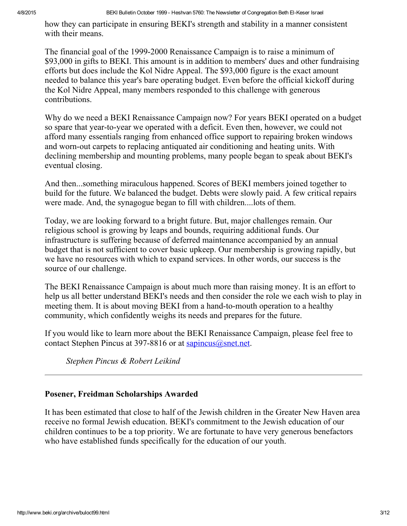how they can participate in ensuring BEKI's strength and stability in a manner consistent with their means.

The financial goal of the 1999-2000 Renaissance Campaign is to raise a minimum of \$93,000 in gifts to BEKI. This amount is in addition to members' dues and other fundraising efforts but does include the Kol Nidre Appeal. The \$93,000 figure is the exact amount needed to balance this year's bare operating budget. Even before the official kickoff during the Kol Nidre Appeal, many members responded to this challenge with generous contributions.

Why do we need a BEKI Renaissance Campaign now? For years BEKI operated on a budget so spare that year-to-year we operated with a deficit. Even then, however, we could not afford many essentials ranging from enhanced office support to repairing broken windows and worn-out carpets to replacing antiquated air conditioning and heating units. With declining membership and mounting problems, many people began to speak about BEKI's eventual closing.

And then...something miraculous happened. Scores of BEKI members joined together to build for the future. We balanced the budget. Debts were slowly paid. A few critical repairs were made. And, the synagogue began to fill with children....lots of them.

Today, we are looking forward to a bright future. But, major challenges remain. Our religious school is growing by leaps and bounds, requiring additional funds. Our infrastructure is suffering because of deferred maintenance accompanied by an annual budget that is not sufficient to cover basic upkeep. Our membership is growing rapidly, but we have no resources with which to expand services. In other words, our success is the source of our challenge.

The BEKI Renaissance Campaign is about much more than raising money. It is an effort to help us all better understand BEKI's needs and then consider the role we each wish to play in meeting them. It is about moving BEKI from a hand-to-mouth operation to a healthy community, which confidently weighs its needs and prepares for the future.

If you would like to learn more about the BEKI Renaissance Campaign, please feel free to contact Stephen Pincus at 397-8816 or at [sapincus@snet.net.](mailto:sapincus@snet.net)

Stephen Pincus & Robert Leikind

## <span id="page-2-0"></span>Posener, Freidman Scholarships Awarded

It has been estimated that close to half of the Jewish children in the Greater New Haven area receive no formal Jewish education. BEKI's commitment to the Jewish education of our children continues to be a top priority. We are fortunate to have very generous benefactors who have established funds specifically for the education of our youth.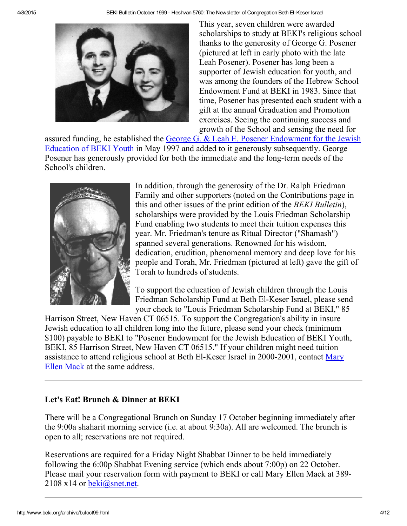

This year, seven children were awarded scholarships to study at BEKI's religious school thanks to the generosity of George G. Posener (pictured at left in early photo with the late Leah Posener). Posener has long been a supporter of Jewish education for youth, and was among the founders of the Hebrew School Endowment Fund at BEKI in 1983. Since that time, Posener has presented each student with a gift at the annual Graduation and Promotion exercises. Seeing the continuing success and growth of the School and sensing the need for

assured funding, he established the George G. & Leah E. Posener Endowment for the Jewish Education of BEKI Youth in May 1997 and added to it generously [subsequently.](http://www.beki.org/archive/endowment.html#PosenerYouth) George Posener has generously provided for both the immediate and the long-term needs of the School's children.



In addition, through the generosity of the Dr. Ralph Friedman Family and other supporters (noted on the Contributions page in this and other issues of the print edition of the BEKI Bulletin), scholarships were provided by the Louis Friedman Scholarship Fund enabling two students to meet their tuition expenses this year. Mr. Friedman's tenure as Ritual Director ("Shamash") spanned several generations. Renowned for his wisdom, dedication, erudition, phenomenal memory and deep love for his people and Torah, Mr. Friedman (pictured at left) gave the gift of Torah to hundreds of students.

To support the education of Jewish children through the Louis Friedman Scholarship Fund at Beth El-Keser Israel, please send your check to "Louis Friedman Scholarship Fund at BEKI," 85

Harrison Street, New Haven CT 06515. To support the Congregation's ability in insure Jewish education to all children long into the future, please send your check (minimum \$100) payable to BEKI to "Posener Endowment for the Jewish Education of BEKI Youth, BEKI, 85 Harrison Street, New Haven CT 06515." If your children might need tuition assistance to attend religious school at Beth El-Keser Israel in 2000-2001, contact Mary Ellen Mack at the same address.

# <span id="page-3-0"></span>Let's Eat! Brunch & Dinner at BEKI

There will be a Congregational Brunch on Sunday 17 October beginning immediately after the 9:00a shaharit morning service (i.e. at about 9:30a). All are welcomed. The brunch is open to all; reservations are not required.

Reservations are required for a Friday Night Shabbat Dinner to be held immediately following the 6:00p Shabbat Evening service (which ends about 7:00p) on 22 October. Please mail your reservation form with payment to BEKI or call Mary Ellen Mack at 389  $2108 \times 14$  or [beki@snet.net.](mailto:beki@snet.net)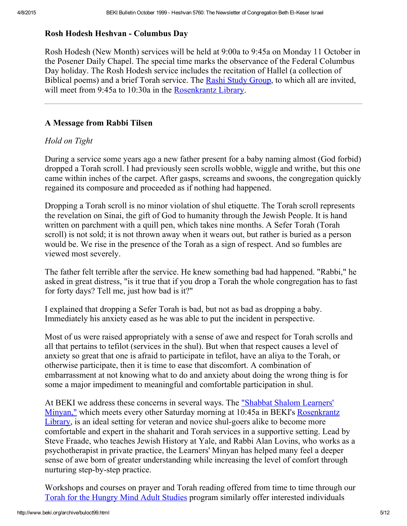#### <span id="page-4-0"></span>Rosh Hodesh Heshvan Columbus Day

Rosh Hodesh (New Month) services will be held at 9:00a to 9:45a on Monday 11 October in the Posener Daily Chapel. The special time marks the observance of the Federal Columbus Day holiday. The Rosh Hodesh service includes the recitation of Hallel (a collection of Biblical poems) and a brief Torah service. The Rashi Study [Group,](http://www.beki.org/archive/adulted.html#rashi) to which all are invited, will meet from 9:45a to 10:30a in the [Rosenkrantz](http://www.beki.org/archive/library.html) Library.

## <span id="page-4-1"></span>A Message from Rabbi Tilsen

## Hold on Tight

During a service some years ago a new father present for a baby naming almost (God forbid) dropped a Torah scroll. I had previously seen scrolls wobble, wiggle and writhe, but this one came within inches of the carpet. After gasps, screams and swoons, the congregation quickly regained its composure and proceeded as if nothing had happened.

Dropping a Torah scroll is no minor violation of shul etiquette. The Torah scroll represents the revelation on Sinai, the gift of God to humanity through the Jewish People. It is hand written on parchment with a quill pen, which takes nine months. A Sefer Torah (Torah scroll) is not sold; it is not thrown away when it wears out, but rather is buried as a person would be. We rise in the presence of the Torah as a sign of respect. And so fumbles are viewed most severely.

The father felt terrible after the service. He knew something bad had happened. "Rabbi," he asked in great distress, "is it true that if you drop a Torah the whole congregation has to fast for forty days? Tell me, just how bad is it?"

I explained that dropping a Sefer Torah is bad, but not as bad as dropping a baby. Immediately his anxiety eased as he was able to put the incident in perspective.

Most of us were raised appropriately with a sense of awe and respect for Torah scrolls and all that pertains to tefilot (services in the shul). But when that respect causes a level of anxiety so great that one is afraid to participate in tefilot, have an aliya to the Torah, or otherwise participate, then it is time to ease that discomfort. A combination of embarrassment at not knowing what to do and anxiety about doing the wrong thing is for some a major impediment to meaningful and comfortable participation in shul.

At BEKI we address these concerns in several ways. The "Shabbat Shalom Learners' Minyan," which meets every other Saturday morning at 10:45a in BEKI's [Rosenkrantz](http://www.beki.org/archive/library.html) Library, is an ideal setting for veteran and novice shul-goers alike to become more comfortable and expert in the shaharit and Torah services in a supportive setting. Lead by Steve Fraade, who teaches Jewish History at Yale, and Rabbi Alan Lovins, who works as a psychotherapist in private practice, the Learners' Minyan has helped many feel a deeper sense of awe born of greater understanding while increasing the level of comfort through nurturing step-by-step practice.

Workshops and courses on prayer and Torah reading offered from time to time through our Torah for the [Hungry](http://www.beki.org/archive/adulted.html) Mind Adult Studies program similarly offer interested individuals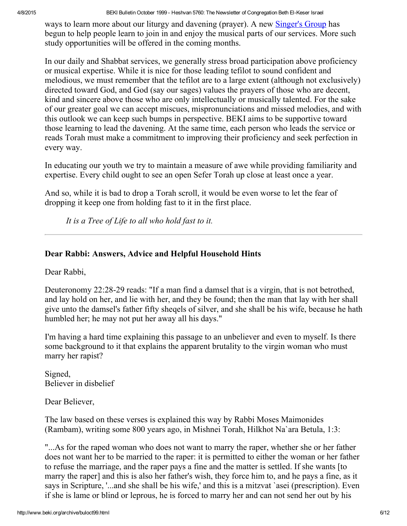ways to learn more about our liturgy and davening (prayer). A new [Singer's](http://www.beki.org/archive/adulted.html#singers) Group has begun to help people learn to join in and enjoy the musical parts of our services. More such study opportunities will be offered in the coming months.

In our daily and Shabbat services, we generally stress broad participation above proficiency or musical expertise. While it is nice for those leading tefilot to sound confident and melodious, we must remember that the tefilot are to a large extent (although not exclusively) directed toward God, and God (say our sages) values the prayers of those who are decent, kind and sincere above those who are only intellectually or musically talented. For the sake of our greater goal we can accept miscues, mispronunciations and missed melodies, and with this outlook we can keep such bumps in perspective. BEKI aims to be supportive toward those learning to lead the davening. At the same time, each person who leads the service or reads Torah must make a commitment to improving their proficiency and seek perfection in every way.

In educating our youth we try to maintain a measure of awe while providing familiarity and expertise. Every child ought to see an open Sefer Torah up close at least once a year.

And so, while it is bad to drop a Torah scroll, it would be even worse to let the fear of dropping it keep one from holding fast to it in the first place.

It is a Tree of Life to all who hold fast to it.

## <span id="page-5-0"></span>Dear Rabbi: Answers, Advice and Helpful Household Hints

Dear Rabbi,

Deuteronomy 22:28-29 reads: "If a man find a damsel that is a virgin, that is not betrothed, and lay hold on her, and lie with her, and they be found; then the man that lay with her shall give unto the damsel's father fifty sheqels of silver, and she shall be his wife, because he hath humbled her; he may not put her away all his days."

I'm having a hard time explaining this passage to an unbeliever and even to myself. Is there some background to it that explains the apparent brutality to the virgin woman who must marry her rapist?

Signed, Believer in disbelief

Dear Believer,

The law based on these verses is explained this way by Rabbi Moses Maimonides (Rambam), writing some 800 years ago, in Mishnei Torah, Hilkhot Na`ara Betula, 1:3:

"...As for the raped woman who does not want to marry the raper, whether she or her father does not want her to be married to the raper: it is permitted to either the woman or her father to refuse the marriage, and the raper pays a fine and the matter is settled. If she wants [to marry the raper] and this is also her father's wish, they force him to, and he pays a fine, as it says in Scripture, '...and she shall be his wife,' and this is a mitzvat `asei (prescription). Even if she is lame or blind or leprous, he is forced to marry her and can not send her out by his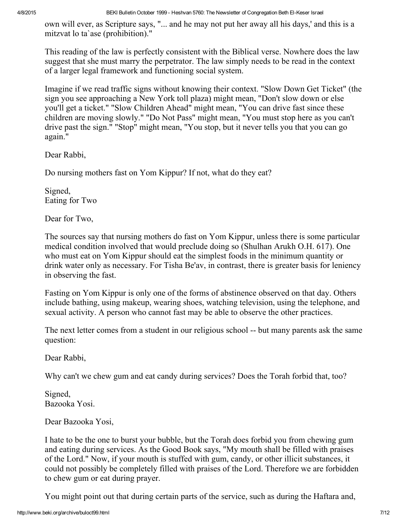own will ever, as Scripture says, "... and he may not put her away all his days,' and this is a mitzvat lo ta`ase (prohibition)."

This reading of the law is perfectly consistent with the Biblical verse. Nowhere does the law suggest that she must marry the perpetrator. The law simply needs to be read in the context of a larger legal framework and functioning social system.

Imagine if we read traffic signs without knowing their context. "Slow Down Get Ticket" (the sign you see approaching a New York toll plaza) might mean, "Don't slow down or else you'll get a ticket." "Slow Children Ahead" might mean, "You can drive fast since these children are moving slowly." "Do Not Pass" might mean, "You must stop here as you can't drive past the sign." "Stop" might mean, "You stop, but it never tells you that you can go again."

Dear Rabbi,

Do nursing mothers fast on Yom Kippur? If not, what do they eat?

Signed, Eating for Two

Dear for Two,

The sources say that nursing mothers do fast on Yom Kippur, unless there is some particular medical condition involved that would preclude doing so (Shulhan Arukh O.H. 617). One who must eat on Yom Kippur should eat the simplest foods in the minimum quantity or drink water only as necessary. For Tisha Be'av, in contrast, there is greater basis for leniency in observing the fast.

Fasting on Yom Kippur is only one of the forms of abstinence observed on that day. Others include bathing, using makeup, wearing shoes, watching television, using the telephone, and sexual activity. A person who cannot fast may be able to observe the other practices.

The next letter comes from a student in our religious school -- but many parents ask the same question:

Dear Rabbi,

Why can't we chew gum and eat candy during services? Does the Torah forbid that, too?

Signed, Bazooka Yosi.

Dear Bazooka Yosi,

I hate to be the one to burst your bubble, but the Torah does forbid you from chewing gum and eating during services. As the Good Book says, "My mouth shall be filled with praises of the Lord." Now, if your mouth is stuffed with gum, candy, or other illicit substances, it could not possibly be completely filled with praises of the Lord. Therefore we are forbidden to chew gum or eat during prayer.

You might point out that during certain parts of the service, such as during the Haftara and,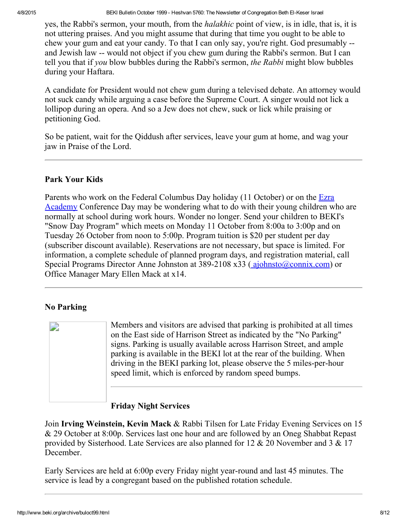yes, the Rabbi's sermon, your mouth, from the *halakhic* point of view, is in idle, that is, it is not uttering praises. And you might assume that during that time you ought to be able to chew your gum and eat your candy. To that I can only say, you're right. God presumably and Jewish law -- would not object if you chew gum during the Rabbi's sermon. But I can tell you that if you blow bubbles during the Rabbi's sermon, the Rabbi might blow bubbles during your Haftara.

A candidate for President would not chew gum during a televised debate. An attorney would not suck candy while arguing a case before the Supreme Court. A singer would not lick a lollipop during an opera. And so a Jew does not chew, suck or lick while praising or petitioning God.

So be patient, wait for the Qiddush after services, leave your gum at home, and wag your jaw in Praise of the Lord.

## <span id="page-7-1"></span>Park Your Kids

Parents who work on the Federal Columbus Day holiday (11 October) or on the  $Ezra$ Academy [Conference](http://www.uscj.org/ssds/ezra) Day may be wondering what to do with their young children who are normally at school during work hours. Wonder no longer. Send your children to BEKI's "Snow Day Program" which meets on Monday 11 October from 8:00a to 3:00p and on Tuesday 26 October from noon to 5:00p. Program tuition is \$20 per student per day (subscriber discount available). Reservations are not necessary, but space is limited. For information, a complete schedule of planned program days, and registration material, call Special Programs Director Anne Johnston at 389-2108 x33 ([ajohnsto@connix.com\)](mailto:ajohnsto@connix.com) or Office Manager Mary Ellen Mack at x14.

## <span id="page-7-0"></span>No Parking



Members and visitors are advised that parking is prohibited at all times on the East side of Harrison Street as indicated by the "No Parking" signs. Parking is usually available across Harrison Street, and ample parking is available in the BEKI lot at the rear of the building. When driving in the BEKI parking lot, please observe the 5 miles-per-hour speed limit, which is enforced by random speed bumps.

# <span id="page-7-2"></span>Friday Night Services

Join Irving Weinstein, Kevin Mack & Rabbi Tilsen for Late Friday Evening Services on 15 & 29 October at 8:00p. Services last one hour and are followed by an Oneg Shabbat Repast provided by Sisterhood. Late Services are also planned for 12 & 20 November and 3 & 17 December.

Early Services are held at 6:00p every Friday night year-round and last 45 minutes. The service is lead by a congregant based on the published rotation schedule.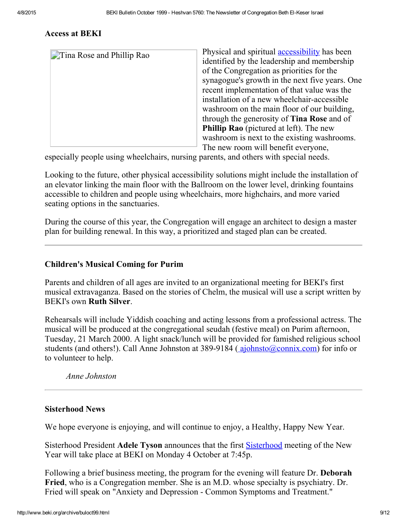## <span id="page-8-2"></span>Access at BEKI

| <b>Time Rose and Phillip Rao</b> | Physical and spiritual <b>accessibility</b> has been |
|----------------------------------|------------------------------------------------------|
|                                  | identified by the leadership and membership          |
|                                  | of the Congregation as priorities for the            |
|                                  | synagogue's growth in the next five years. One       |
|                                  | recent implementation of that value was the          |
|                                  | installation of a new wheelchair-accessible          |
|                                  | washroom on the main floor of our building,          |
|                                  | through the generosity of <b>Tina Rose</b> and of    |
|                                  | <b>Phillip Rao</b> (pictured at left). The new       |
|                                  | washroom is next to the existing washrooms.          |
|                                  | The new room will benefit everyone,                  |

especially people using wheelchairs, nursing parents, and others with special needs.

Looking to the future, other physical accessibility solutions might include the installation of an elevator linking the main floor with the Ballroom on the lower level, drinking fountains accessible to children and people using wheelchairs, more highchairs, and more varied seating options in the sanctuaries.

During the course of this year, the Congregation will engage an architect to design a master plan for building renewal. In this way, a prioritized and staged plan can be created.

#### <span id="page-8-0"></span>Children's Musical Coming for Purim

Parents and children of all ages are invited to an organizational meeting for BEKI's first musical extravaganza. Based on the stories of Chelm, the musical will use a script written by BEKI's own Ruth Silver.

Rehearsals will include Yiddish coaching and acting lessons from a professional actress. The musical will be produced at the congregational seudah (festive meal) on Purim afternoon, Tuesday, 21 March 2000. A light snack/lunch will be provided for famished religious school students (and others!). Call Anne Johnston at 389-9184 ( [ajohnsto@connix.com\)](mailto:ajohnsto@connix.com) for info or to volunteer to help.

Anne Johnston

#### <span id="page-8-1"></span>Sisterhood News

We hope everyone is enjoying, and will continue to enjoy, a Healthy, Happy New Year.

[Sisterhood](http://www.beki.org/archive/sisterhood.html) President Adele Tyson announces that the first Sisterhood meeting of the New Year will take place at BEKI on Monday 4 October at 7:45p.

Following a brief business meeting, the program for the evening will feature Dr. **Deborah** Fried, who is a Congregation member. She is an M.D. whose specialty is psychiatry. Dr. Fried will speak on "Anxiety and Depression - Common Symptoms and Treatment."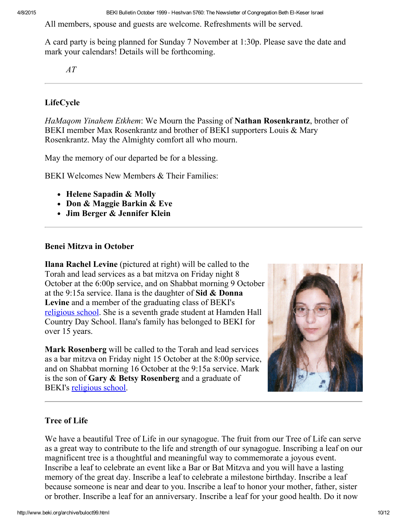All members, spouse and guests are welcome. Refreshments will be served.

A card party is being planned for Sunday 7 November at 1:30p. Please save the date and mark your calendars! Details will be forthcoming.

AT

## <span id="page-9-0"></span>LifeCycle

HaMagom Yinahem Etkhem: We Mourn the Passing of Nathan Rosenkrantz, brother of BEKI member Max Rosenkrantz and brother of BEKI supporters Louis & Mary Rosenkrantz. May the Almighty comfort all who mourn.

May the memory of our departed be for a blessing.

BEKI Welcomes New Members & Their Families:

- Helene Sapadin & Molly
- Don & Maggie Barkin & Eve
- Jim Berger & Jennifer Klein

#### <span id="page-9-1"></span>Benei Mitzva in October

Ilana Rachel Levine (pictured at right) will be called to the Torah and lead services as a bat mitzva on Friday night 8 October at the 6:00p service, and on Shabbat morning 9 October at the 9:15a service. Ilana is the daughter of Sid  $\&$  Donna Levine and a member of the graduating class of BEKI's [religious](http://www.beki.org/archive/youth.html#uhs) school. She is a seventh grade student at Hamden Hall Country Day School. Ilana's family has belonged to BEKI for over 15 years.

Mark Rosenberg will be called to the Torah and lead services as a bar mitzva on Friday night 15 October at the 8:00p service, and on Shabbat morning 16 October at the 9:15a service. Mark is the son of Gary  $\&$  Betsy Rosenberg and a graduate of BEKI's [religious](http://www.beki.org/archive/youth.html#uhs) school.



## <span id="page-9-2"></span>Tree of Life

We have a beautiful Tree of Life in our synagogue. The fruit from our Tree of Life can serve as a great way to contribute to the life and strength of our synagogue. Inscribing a leaf on our magnificent tree is a thoughtful and meaningful way to commemorate a joyous event. Inscribe a leaf to celebrate an event like a Bar or Bat Mitzva and you will have a lasting memory of the great day. Inscribe a leaf to celebrate a milestone birthday. Inscribe a leaf because someone is near and dear to you. Inscribe a leaf to honor your mother, father, sister or brother. Inscribe a leaf for an anniversary. Inscribe a leaf for your good health. Do it now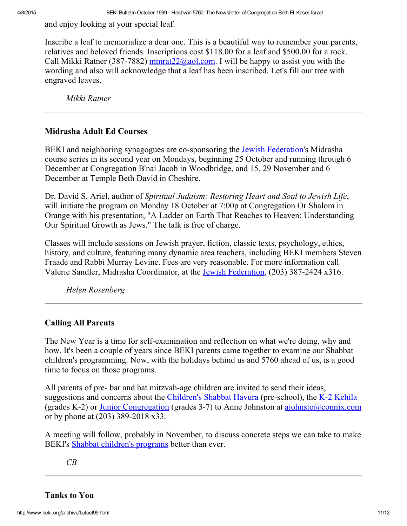and enjoy looking at your special leaf.

Inscribe a leaf to memorialize a dear one. This is a beautiful way to remember your parents, relatives and beloved friends. Inscriptions cost \$118.00 for a leaf and \$500.00 for a rock. Call Mikki Ratner (387-7882) [mmrat22@aol.com.](mailto:mmrat22@aol.com) I will be happy to assist you with the wording and also will acknowledge that a leaf has been inscribed. Let's fill our tree with engraved leaves.

Mikki Ratner

#### <span id="page-10-2"></span>Midrasha Adult Ed Courses

BEKI and neighboring synagogues are co-sponsoring the **Jewish [Federation](http://www.jewishnewhaven.org/)'s** Midrasha course series in its second year on Mondays, beginning 25 October and running through 6 December at Congregation B'nai Jacob in Woodbridge, and 15, 29 November and 6 December at Temple Beth David in Cheshire.

Dr. David S. Ariel, author of Spiritual Judaism: Restoring Heart and Soul to Jewish Life, will initiate the program on Monday 18 October at 7:00p at Congregation Or Shalom in Orange with his presentation, "A Ladder on Earth That Reaches to Heaven: Understanding Our Spiritual Growth as Jews." The talk is free of charge.

Classes will include sessions on Jewish prayer, fiction, classic texts, psychology, ethics, history, and culture, featuring many dynamic area teachers, including BEKI members Steven Fraade and Rabbi Murray Levine. Fees are very reasonable. For more information call Valerie Sandler, Midrasha Coordinator, at the Jewish [Federation](http://www.jewishnewhaven.org/), (203) 387-2424 x316.

Helen Rosenberg

#### <span id="page-10-0"></span>Calling All Parents

The New Year is a time for self-examination and reflection on what we're doing, why and how. It's been a couple of years since BEKI parents came together to examine our Shabbat children's programming. Now, with the holidays behind us and 5760 ahead of us, is a good time to focus on those programs.

All parents of pre- bar and bat mitzvah-age children are invited to send their ideas, suggestions and concerns about the [Children's](http://www.beki.org/archive/youth.html#cshavura) Shabbat Havura (pre-school), the K-2 [Kehila](http://www.beki.org/archive/youth.html#k-2kehila) (grades K-2) or Junior [Congregation](http://www.beki.org/archive/youth.html#junior) (grades 3-7) to Anne Johnston at  $a$ johnsto $(a)$ connix.com or by phone at  $(203)$  389-2018 x33.

A meeting will follow, probably in November, to discuss concrete steps we can take to make BEKI's Shabbat [children's](http://www.beki.org/archive/youth.html) programs better than ever.

CB

<span id="page-10-1"></span>Tanks to You